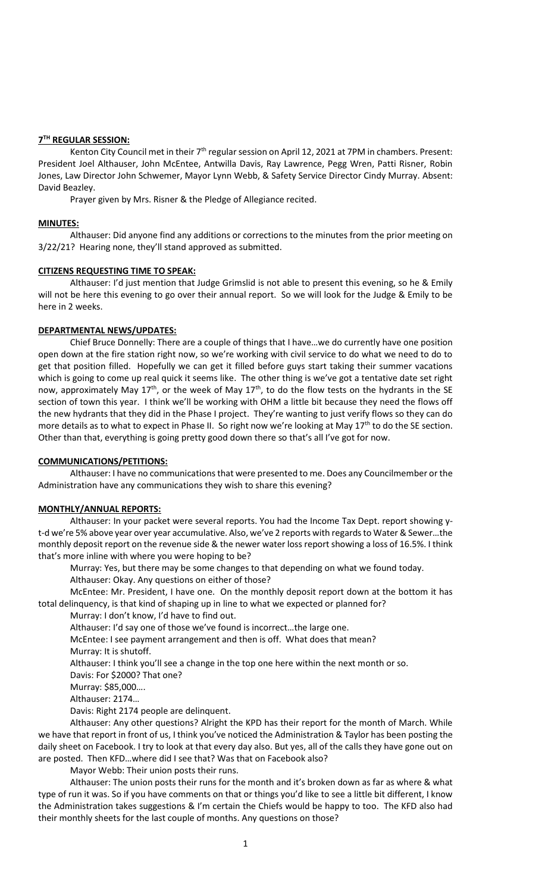# **7 TH REGULAR SESSION:**

Kenton City Council met in their  $7<sup>th</sup>$  regular session on April 12, 2021 at 7PM in chambers. Present: President Joel Althauser, John McEntee, Antwilla Davis, Ray Lawrence, Pegg Wren, Patti Risner, Robin Jones, Law Director John Schwemer, Mayor Lynn Webb, & Safety Service Director Cindy Murray. Absent: David Beazley.

Prayer given by Mrs. Risner & the Pledge of Allegiance recited.

# **MINUTES:**

Althauser: Did anyone find any additions or corrections to the minutes from the prior meeting on 3/22/21? Hearing none, they'll stand approved as submitted.

### **CITIZENS REQUESTING TIME TO SPEAK:**

Althauser: I'd just mention that Judge Grimslid is not able to present this evening, so he & Emily will not be here this evening to go over their annual report. So we will look for the Judge & Emily to be here in 2 weeks.

# **DEPARTMENTAL NEWS/UPDATES:**

Chief Bruce Donnelly: There are a couple of things that I have…we do currently have one position open down at the fire station right now, so we're working with civil service to do what we need to do to get that position filled. Hopefully we can get it filled before guys start taking their summer vacations which is going to come up real quick it seems like. The other thing is we've got a tentative date set right now, approximately May 17<sup>th</sup>, or the week of May 17<sup>th</sup>, to do the flow tests on the hydrants in the SE section of town this year. I think we'll be working with OHM a little bit because they need the flows off the new hydrants that they did in the Phase I project. They're wanting to just verify flows so they can do more details as to what to expect in Phase II. So right now we're looking at May 17<sup>th</sup> to do the SE section. Other than that, everything is going pretty good down there so that's all I've got for now.

#### **COMMUNICATIONS/PETITIONS:**

Althauser: I have no communications that were presented to me. Does any Councilmember or the Administration have any communications they wish to share this evening?

# **MONTHLY/ANNUAL REPORTS:**

Althauser: In your packet were several reports. You had the Income Tax Dept. report showing yt-d we're 5% above year over year accumulative. Also, we've 2 reports with regards to Water & Sewer…the monthly deposit report on the revenue side & the newer water loss report showing a loss of 16.5%. I think that's more inline with where you were hoping to be?

Murray: Yes, but there may be some changes to that depending on what we found today. Althauser: Okay. Any questions on either of those?

McEntee: Mr. President, I have one. On the monthly deposit report down at the bottom it has total delinquency, is that kind of shaping up in line to what we expected or planned for?

Murray: I don't know, I'd have to find out.

Althauser: I'd say one of those we've found is incorrect…the large one.

McEntee: I see payment arrangement and then is off. What does that mean? Murray: It is shutoff.

Althauser: I think you'll see a change in the top one here within the next month or so.

Davis: For \$2000? That one?

Murray: \$85,000….

Althauser: 2174…

Davis: Right 2174 people are delinquent.

Althauser: Any other questions? Alright the KPD has their report for the month of March. While we have that report in front of us, I think you've noticed the Administration & Taylor has been posting the daily sheet on Facebook. I try to look at that every day also. But yes, all of the calls they have gone out on are posted. Then KFD…where did I see that? Was that on Facebook also?

Mayor Webb: Their union posts their runs.

Althauser: The union posts their runs for the month and it's broken down as far as where & what type of run it was. So if you have comments on that or things you'd like to see a little bit different, I know the Administration takes suggestions & I'm certain the Chiefs would be happy to too. The KFD also had their monthly sheets for the last couple of months. Any questions on those?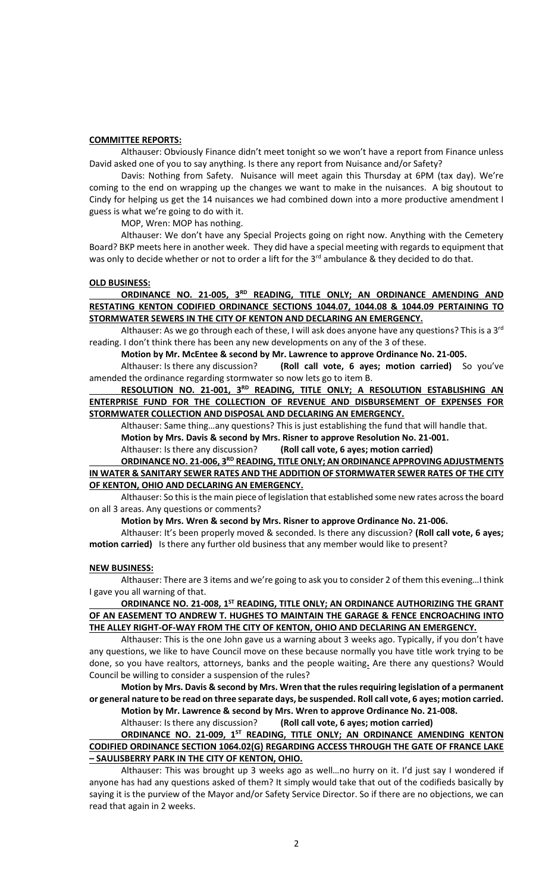#### **COMMITTEE REPORTS:**

Althauser: Obviously Finance didn't meet tonight so we won't have a report from Finance unless David asked one of you to say anything. Is there any report from Nuisance and/or Safety?

Davis: Nothing from Safety. Nuisance will meet again this Thursday at 6PM (tax day). We're coming to the end on wrapping up the changes we want to make in the nuisances. A big shoutout to Cindy for helping us get the 14 nuisances we had combined down into a more productive amendment I guess is what we're going to do with it.

MOP, Wren: MOP has nothing.

Althauser: We don't have any Special Projects going on right now. Anything with the Cemetery Board? BKP meets here in another week. They did have a special meeting with regards to equipment that was only to decide whether or not to order a lift for the  $3<sup>rd</sup>$  ambulance & they decided to do that.

#### **OLD BUSINESS:**

**ORDINANCE NO. 21-005, 3RD READING, TITLE ONLY; AN ORDINANCE AMENDING AND RESTATING KENTON CODIFIED ORDINANCE SECTIONS 1044.07, 1044.08 & 1044.09 PERTAINING TO STORMWATER SEWERS IN THE CITY OF KENTON AND DECLARING AN EMERGENCY.** 

Althauser: As we go through each of these, I will ask does anyone have any questions? This is a 3<sup>rd</sup> reading. I don't think there has been any new developments on any of the 3 of these.

**Motion by Mr. McEntee & second by Mr. Lawrence to approve Ordinance No. 21-005.**

Althauser: Is there any discussion? **(Roll call vote, 6 ayes; motion carried)** So you've amended the ordinance regarding stormwater so now lets go to item B.

**RESOLUTION NO. 21-001, 3RD READING, TITLE ONLY; A RESOLUTION ESTABLISHING AN ENTERPRISE FUND FOR THE COLLECTION OF REVENUE AND DISBURSEMENT OF EXPENSES FOR STORMWATER COLLECTION AND DISPOSAL AND DECLARING AN EMERGENCY.**

Althauser: Same thing…any questions? This is just establishing the fund that will handle that.

**Motion by Mrs. Davis & second by Mrs. Risner to approve Resolution No. 21-001.**

Althauser: Is there any discussion? **(Roll call vote, 6 ayes; motion carried)**

**ORDINANCE NO. 21-006, 3RD READING, TITLE ONLY; AN ORDINANCE APPROVING ADJUSTMENTS IN WATER & SANITARY SEWER RATES AND THE ADDITION OF STORMWATER SEWER RATES OF THE CITY OF KENTON, OHIO AND DECLARING AN EMERGENCY.**

Althauser: So this is the main piece of legislation that established some new rates across the board on all 3 areas. Any questions or comments?

**Motion by Mrs. Wren & second by Mrs. Risner to approve Ordinance No. 21-006.**

Althauser: It's been properly moved & seconded. Is there any discussion? **(Roll call vote, 6 ayes; motion carried)** Is there any further old business that any member would like to present?

#### **NEW BUSINESS:**

Althauser: There are 3 items and we're going to ask you to consider 2 of them this evening…I think I gave you all warning of that.

ORDINANCE NO. 21-008, 1<sup>ST</sup> READING, TITLE ONLY; AN ORDINANCE AUTHORIZING THE GRANT **OF AN EASEMENT TO ANDREW T. HUGHES TO MAINTAIN THE GARAGE & FENCE ENCROACHING INTO THE ALLEY RIGHT-OF-WAY FROM THE CITY OF KENTON, OHIO AND DECLARING AN EMERGENCY.**

Althauser: This is the one John gave us a warning about 3 weeks ago. Typically, if you don't have any questions, we like to have Council move on these because normally you have title work trying to be done, so you have realtors, attorneys, banks and the people waiting**.** Are there any questions? Would Council be willing to consider a suspension of the rules?

**Motion by Mrs. Davis & second by Mrs. Wren that the rules requiring legislation of a permanent or general nature to be read on three separate days, be suspended. Roll call vote, 6 ayes; motion carried. Motion by Mr. Lawrence & second by Mrs. Wren to approve Ordinance No. 21-008.**

Althauser: Is there any discussion? **(Roll call vote, 6 ayes; motion carried)**

**ORDINANCE NO. 21-009, 1ST READING, TITLE ONLY; AN ORDINANCE AMENDING KENTON CODIFIED ORDINANCE SECTION 1064.02(G) REGARDING ACCESS THROUGH THE GATE OF FRANCE LAKE – SAULISBERRY PARK IN THE CITY OF KENTON, OHIO.** 

Althauser: This was brought up 3 weeks ago as well…no hurry on it. I'd just say I wondered if anyone has had any questions asked of them? It simply would take that out of the codifieds basically by saying it is the purview of the Mayor and/or Safety Service Director. So if there are no objections, we can read that again in 2 weeks.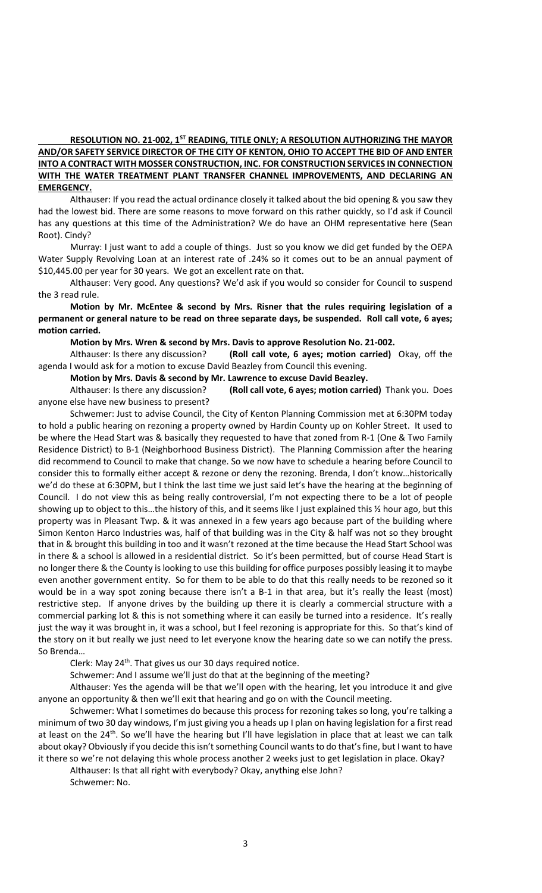# **RESOLUTION NO. 21-002, 1ST READING, TITLE ONLY; A RESOLUTION AUTHORIZING THE MAYOR AND/OR SAFETY SERVICE DIRECTOR OF THE CITY OF KENTON, OHIO TO ACCEPT THE BID OF AND ENTER INTO A CONTRACT WITH MOSSER CONSTRUCTION, INC. FOR CONSTRUCTION SERVICES IN CONNECTION WITH THE WATER TREATMENT PLANT TRANSFER CHANNEL IMPROVEMENTS, AND DECLARING AN EMERGENCY.**

Althauser: If you read the actual ordinance closely it talked about the bid opening & you saw they had the lowest bid. There are some reasons to move forward on this rather quickly, so I'd ask if Council has any questions at this time of the Administration? We do have an OHM representative here (Sean Root). Cindy?

Murray: I just want to add a couple of things. Just so you know we did get funded by the OEPA Water Supply Revolving Loan at an interest rate of .24% so it comes out to be an annual payment of \$10,445.00 per year for 30 years. We got an excellent rate on that.

Althauser: Very good. Any questions? We'd ask if you would so consider for Council to suspend the 3 read rule.

**Motion by Mr. McEntee & second by Mrs. Risner that the rules requiring legislation of a permanent or general nature to be read on three separate days, be suspended. Roll call vote, 6 ayes; motion carried.**

**Motion by Mrs. Wren & second by Mrs. Davis to approve Resolution No. 21-002.**

Althauser: Is there any discussion? **(Roll call vote, 6 ayes; motion carried)** Okay, off the agenda I would ask for a motion to excuse David Beazley from Council this evening.

**Motion by Mrs. Davis & second by Mr. Lawrence to excuse David Beazley.**

Althauser: Is there any discussion? **(Roll call vote, 6 ayes; motion carried)** Thank you. Does anyone else have new business to present?

Schwemer: Just to advise Council, the City of Kenton Planning Commission met at 6:30PM today to hold a public hearing on rezoning a property owned by Hardin County up on Kohler Street. It used to be where the Head Start was & basically they requested to have that zoned from R-1 (One & Two Family Residence District) to B-1 (Neighborhood Business District). The Planning Commission after the hearing did recommend to Council to make that change. So we now have to schedule a hearing before Council to consider this to formally either accept & rezone or deny the rezoning. Brenda, I don't know…historically we'd do these at 6:30PM, but I think the last time we just said let's have the hearing at the beginning of Council. I do not view this as being really controversial, I'm not expecting there to be a lot of people showing up to object to this…the history of this, and it seems like I just explained this ½ hour ago, but this property was in Pleasant Twp. & it was annexed in a few years ago because part of the building where Simon Kenton Harco Industries was, half of that building was in the City & half was not so they brought that in & brought this building in too and it wasn't rezoned at the time because the Head Start School was in there & a school is allowed in a residential district. So it's been permitted, but of course Head Start is no longer there & the County is looking to use this building for office purposes possibly leasing it to maybe even another government entity. So for them to be able to do that this really needs to be rezoned so it would be in a way spot zoning because there isn't a B-1 in that area, but it's really the least (most) restrictive step. If anyone drives by the building up there it is clearly a commercial structure with a commercial parking lot & this is not something where it can easily be turned into a residence. It's really just the way it was brought in, it was a school, but I feel rezoning is appropriate for this. So that's kind of the story on it but really we just need to let everyone know the hearing date so we can notify the press. So Brenda…

Clerk: May  $24<sup>th</sup>$ . That gives us our 30 days required notice.

Schwemer: And I assume we'll just do that at the beginning of the meeting?

Althauser: Yes the agenda will be that we'll open with the hearing, let you introduce it and give anyone an opportunity & then we'll exit that hearing and go on with the Council meeting.

Schwemer: What I sometimes do because this process for rezoning takes so long, you're talking a minimum of two 30 day windows, I'm just giving you a heads up I plan on having legislation for a first read at least on the 24<sup>th</sup>. So we'll have the hearing but I'll have legislation in place that at least we can talk about okay? Obviously if you decide this isn't something Council wants to do that's fine, but I want to have it there so we're not delaying this whole process another 2 weeks just to get legislation in place. Okay?

Althauser: Is that all right with everybody? Okay, anything else John?

Schwemer: No.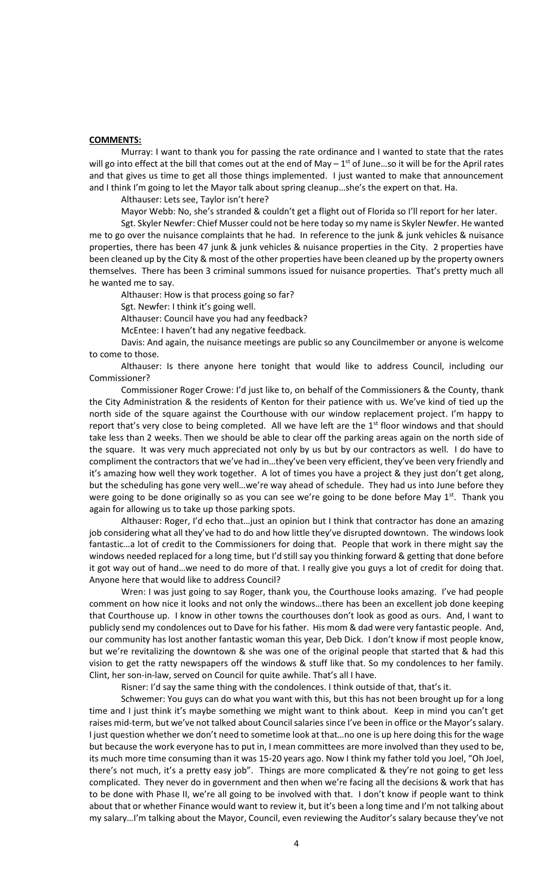# **COMMENTS:**

Murray: I want to thank you for passing the rate ordinance and I wanted to state that the rates will go into effect at the bill that comes out at the end of May  $-1^{st}$  of June...so it will be for the April rates and that gives us time to get all those things implemented. I just wanted to make that announcement and I think I'm going to let the Mayor talk about spring cleanup…she's the expert on that. Ha.

Althauser: Lets see, Taylor isn't here?

Mayor Webb: No, she's stranded & couldn't get a flight out of Florida so I'll report for her later.

Sgt. Skyler Newfer: Chief Musser could not be here today so my name is Skyler Newfer. He wanted me to go over the nuisance complaints that he had. In reference to the junk & junk vehicles & nuisance properties, there has been 47 junk & junk vehicles & nuisance properties in the City. 2 properties have been cleaned up by the City & most of the other properties have been cleaned up by the property owners themselves. There has been 3 criminal summons issued for nuisance properties. That's pretty much all he wanted me to say.

Althauser: How is that process going so far?

Sgt. Newfer: I think it's going well.

Althauser: Council have you had any feedback?

McEntee: I haven't had any negative feedback.

Davis: And again, the nuisance meetings are public so any Councilmember or anyone is welcome to come to those.

Althauser: Is there anyone here tonight that would like to address Council, including our Commissioner?

Commissioner Roger Crowe: I'd just like to, on behalf of the Commissioners & the County, thank the City Administration & the residents of Kenton for their patience with us. We've kind of tied up the north side of the square against the Courthouse with our window replacement project. I'm happy to report that's very close to being completed. All we have left are the 1<sup>st</sup> floor windows and that should take less than 2 weeks. Then we should be able to clear off the parking areas again on the north side of the square. It was very much appreciated not only by us but by our contractors as well. I do have to compliment the contractors that we've had in…they've been very efficient, they've been very friendly and it's amazing how well they work together. A lot of times you have a project & they just don't get along, but the scheduling has gone very well…we're way ahead of schedule. They had us into June before they were going to be done originally so as you can see we're going to be done before May  $1^{st}$ . Thank you again for allowing us to take up those parking spots.

Althauser: Roger, I'd echo that…just an opinion but I think that contractor has done an amazing job considering what all they've had to do and how little they've disrupted downtown. The windows look fantastic…a lot of credit to the Commissioners for doing that. People that work in there might say the windows needed replaced for a long time, but I'd still say you thinking forward & getting that done before it got way out of hand…we need to do more of that. I really give you guys a lot of credit for doing that. Anyone here that would like to address Council?

Wren: I was just going to say Roger, thank you, the Courthouse looks amazing. I've had people comment on how nice it looks and not only the windows…there has been an excellent job done keeping that Courthouse up. I know in other towns the courthouses don't look as good as ours. And, I want to publicly send my condolences out to Dave for his father. His mom & dad were very fantastic people. And, our community has lost another fantastic woman this year, Deb Dick. I don't know if most people know, but we're revitalizing the downtown & she was one of the original people that started that & had this vision to get the ratty newspapers off the windows & stuff like that. So my condolences to her family. Clint, her son-in-law, served on Council for quite awhile. That's all I have.

Risner: I'd say the same thing with the condolences. I think outside of that, that's it.

Schwemer: You guys can do what you want with this, but this has not been brought up for a long time and I just think it's maybe something we might want to think about. Keep in mind you can't get raises mid-term, but we've not talked about Council salaries since I've been in office or the Mayor's salary. I just question whether we don't need to sometime look at that…no one is up here doing this for the wage but because the work everyone has to put in, I mean committees are more involved than they used to be, its much more time consuming than it was 15-20 years ago. Now I think my father told you Joel, "Oh Joel, there's not much, it's a pretty easy job". Things are more complicated & they're not going to get less complicated. They never do in government and then when we're facing all the decisions & work that has to be done with Phase II, we're all going to be involved with that. I don't know if people want to think about that or whether Finance would want to review it, but it's been a long time and I'm not talking about my salary…I'm talking about the Mayor, Council, even reviewing the Auditor's salary because they've not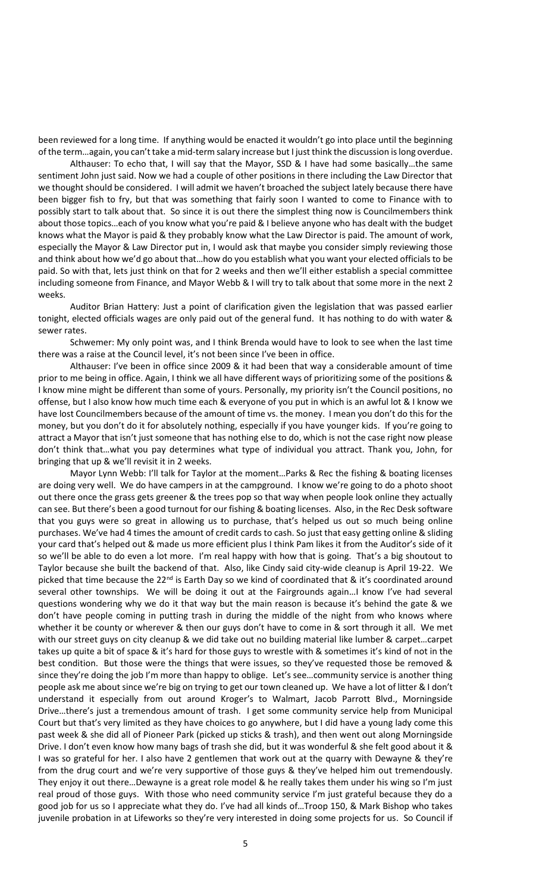been reviewed for a long time. If anything would be enacted it wouldn't go into place until the beginning of the term…again, you can't take a mid-term salary increase but I just think the discussion is long overdue.

Althauser: To echo that, I will say that the Mayor, SSD & I have had some basically…the same sentiment John just said. Now we had a couple of other positions in there including the Law Director that we thought should be considered. I will admit we haven't broached the subject lately because there have been bigger fish to fry, but that was something that fairly soon I wanted to come to Finance with to possibly start to talk about that. So since it is out there the simplest thing now is Councilmembers think about those topics…each of you know what you're paid & I believe anyone who has dealt with the budget knows what the Mayor is paid & they probably know what the Law Director is paid. The amount of work, especially the Mayor & Law Director put in, I would ask that maybe you consider simply reviewing those and think about how we'd go about that…how do you establish what you want your elected officials to be paid. So with that, lets just think on that for 2 weeks and then we'll either establish a special committee including someone from Finance, and Mayor Webb & I will try to talk about that some more in the next 2 weeks.

Auditor Brian Hattery: Just a point of clarification given the legislation that was passed earlier tonight, elected officials wages are only paid out of the general fund. It has nothing to do with water & sewer rates.

Schwemer: My only point was, and I think Brenda would have to look to see when the last time there was a raise at the Council level, it's not been since I've been in office.

Althauser: I've been in office since 2009 & it had been that way a considerable amount of time prior to me being in office. Again, I think we all have different ways of prioritizing some of the positions & I know mine might be different than some of yours. Personally, my priority isn't the Council positions, no offense, but I also know how much time each & everyone of you put in which is an awful lot & I know we have lost Councilmembers because of the amount of time vs. the money. I mean you don't do this for the money, but you don't do it for absolutely nothing, especially if you have younger kids. If you're going to attract a Mayor that isn't just someone that has nothing else to do, which is not the case right now please don't think that…what you pay determines what type of individual you attract. Thank you, John, for bringing that up & we'll revisit it in 2 weeks.

Mayor Lynn Webb: I'll talk for Taylor at the moment…Parks & Rec the fishing & boating licenses are doing very well. We do have campers in at the campground. I know we're going to do a photo shoot out there once the grass gets greener & the trees pop so that way when people look online they actually can see. But there's been a good turnout for our fishing & boating licenses. Also, in the Rec Desk software that you guys were so great in allowing us to purchase, that's helped us out so much being online purchases. We've had 4 times the amount of credit cards to cash. So just that easy getting online & sliding your card that's helped out & made us more efficient plus I think Pam likes it from the Auditor's side of it so we'll be able to do even a lot more. I'm real happy with how that is going. That's a big shoutout to Taylor because she built the backend of that. Also, like Cindy said city-wide cleanup is April 19-22. We picked that time because the 22<sup>nd</sup> is Earth Day so we kind of coordinated that & it's coordinated around several other townships. We will be doing it out at the Fairgrounds again...I know I've had several questions wondering why we do it that way but the main reason is because it's behind the gate & we don't have people coming in putting trash in during the middle of the night from who knows where whether it be county or wherever & then our guys don't have to come in & sort through it all. We met with our street guys on city cleanup & we did take out no building material like lumber & carpet…carpet takes up quite a bit of space & it's hard for those guys to wrestle with & sometimes it's kind of not in the best condition. But those were the things that were issues, so they've requested those be removed & since they're doing the job I'm more than happy to oblige. Let's see...community service is another thing people ask me about since we're big on trying to get our town cleaned up. We have a lot of litter & I don't understand it especially from out around Kroger's to Walmart, Jacob Parrott Blvd., Morningside Drive…there's just a tremendous amount of trash. I get some community service help from Municipal Court but that's very limited as they have choices to go anywhere, but I did have a young lady come this past week & she did all of Pioneer Park (picked up sticks & trash), and then went out along Morningside Drive. I don't even know how many bags of trash she did, but it was wonderful & she felt good about it & I was so grateful for her. I also have 2 gentlemen that work out at the quarry with Dewayne & they're from the drug court and we're very supportive of those guys & they've helped him out tremendously. They enjoy it out there…Dewayne is a great role model & he really takes them under his wing so I'm just real proud of those guys. With those who need community service I'm just grateful because they do a good job for us so I appreciate what they do. I've had all kinds of…Troop 150, & Mark Bishop who takes juvenile probation in at Lifeworks so they're very interested in doing some projects for us. So Council if